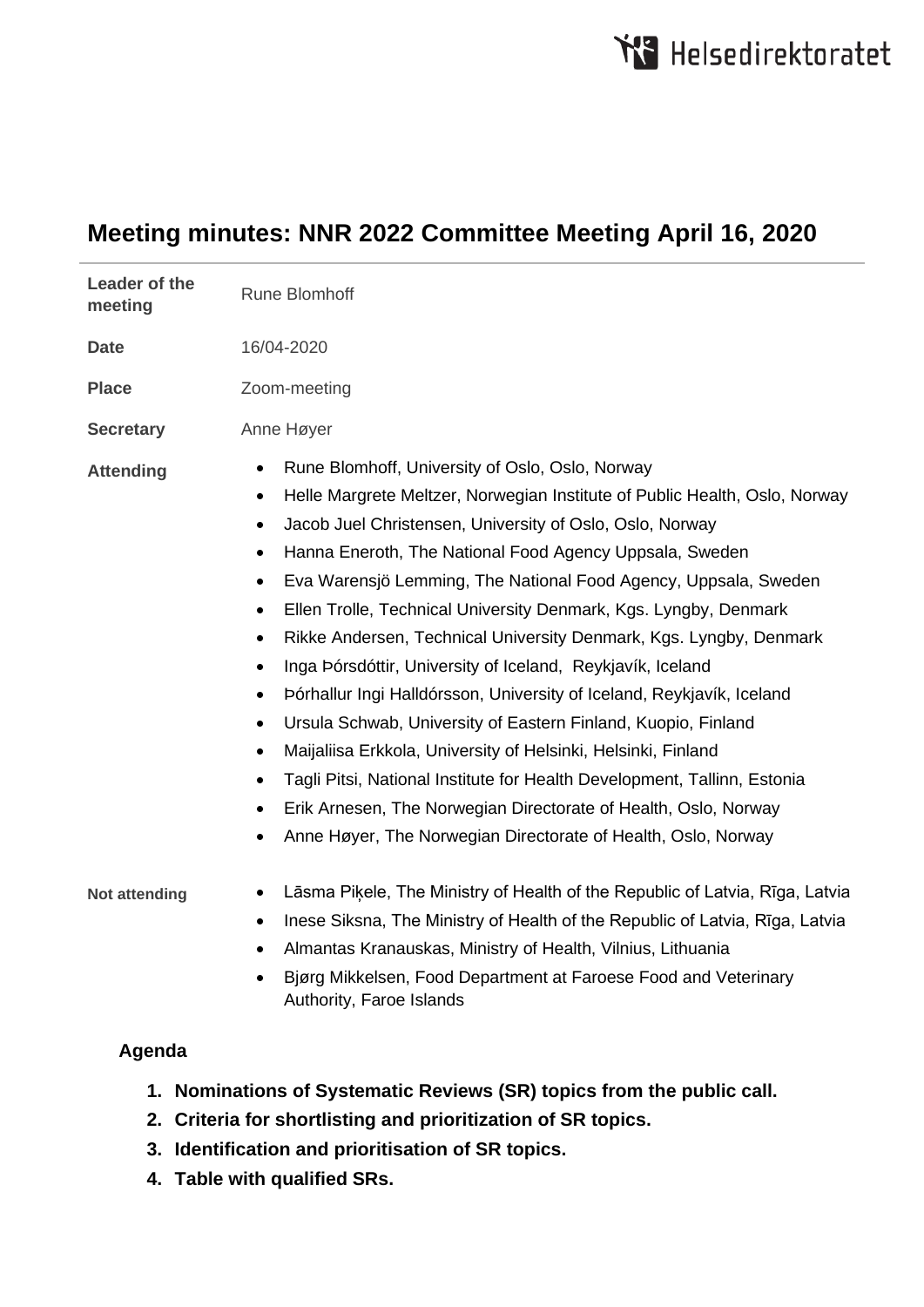# **Meeting minutes: NNR 2022 Committee Meeting April 16, 2020**

| Leader of the<br>meeting                                               | <b>Rune Blomhoff</b>                                                                                                                                                                                                                                                                                                                                                                                                                                                                                                                                                                                                                                                                                                                                                                                                                                                                                                                                                                                                                                                                                     |
|------------------------------------------------------------------------|----------------------------------------------------------------------------------------------------------------------------------------------------------------------------------------------------------------------------------------------------------------------------------------------------------------------------------------------------------------------------------------------------------------------------------------------------------------------------------------------------------------------------------------------------------------------------------------------------------------------------------------------------------------------------------------------------------------------------------------------------------------------------------------------------------------------------------------------------------------------------------------------------------------------------------------------------------------------------------------------------------------------------------------------------------------------------------------------------------|
| <b>Date</b>                                                            | 16/04-2020                                                                                                                                                                                                                                                                                                                                                                                                                                                                                                                                                                                                                                                                                                                                                                                                                                                                                                                                                                                                                                                                                               |
| <b>Place</b>                                                           | Zoom-meeting                                                                                                                                                                                                                                                                                                                                                                                                                                                                                                                                                                                                                                                                                                                                                                                                                                                                                                                                                                                                                                                                                             |
| <b>Secretary</b>                                                       | Anne Høyer                                                                                                                                                                                                                                                                                                                                                                                                                                                                                                                                                                                                                                                                                                                                                                                                                                                                                                                                                                                                                                                                                               |
| <b>Attending</b>                                                       | Rune Blomhoff, University of Oslo, Oslo, Norway<br>$\bullet$<br>Helle Margrete Meltzer, Norwegian Institute of Public Health, Oslo, Norway<br>$\bullet$<br>Jacob Juel Christensen, University of Oslo, Oslo, Norway<br>$\bullet$<br>Hanna Eneroth, The National Food Agency Uppsala, Sweden<br>$\bullet$<br>Eva Warensjö Lemming, The National Food Agency, Uppsala, Sweden<br>$\bullet$<br>Ellen Trolle, Technical University Denmark, Kgs. Lyngby, Denmark<br>٠<br>Rikke Andersen, Technical University Denmark, Kgs. Lyngby, Denmark<br>$\bullet$<br>Inga Þórsdóttir, University of Iceland, Reykjavík, Iceland<br>$\bullet$<br>Þórhallur Ingi Halldórsson, University of Iceland, Reykjavík, Iceland<br>$\bullet$<br>Ursula Schwab, University of Eastern Finland, Kuopio, Finland<br>٠<br>Maijaliisa Erkkola, University of Helsinki, Helsinki, Finland<br>٠<br>Tagli Pitsi, National Institute for Health Development, Tallinn, Estonia<br>٠<br>Erik Arnesen, The Norwegian Directorate of Health, Oslo, Norway<br>٠<br>Anne Høyer, The Norwegian Directorate of Health, Oslo, Norway<br>$\bullet$ |
| <b>Not attending</b>                                                   | Lāsma Piķele, The Ministry of Health of the Republic of Latvia, Rīga, Latvia<br>Inese Siksna, The Ministry of Health of the Republic of Latvia, Rīga, Latvia<br>٠<br>Almantas Kranauskas, Ministry of Health, Vilnius, Lithuania<br>٠<br>Bjørg Mikkelsen, Food Department at Faroese Food and Veterinary<br>Authority, Faroe Islands                                                                                                                                                                                                                                                                                                                                                                                                                                                                                                                                                                                                                                                                                                                                                                     |
| Agenda                                                                 |                                                                                                                                                                                                                                                                                                                                                                                                                                                                                                                                                                                                                                                                                                                                                                                                                                                                                                                                                                                                                                                                                                          |
| 1. Nominations of Systematic Reviews (SR) topics from the public call. |                                                                                                                                                                                                                                                                                                                                                                                                                                                                                                                                                                                                                                                                                                                                                                                                                                                                                                                                                                                                                                                                                                          |

- **2. Criteria for shortlisting and prioritization of SR topics.**
- **3. Identification and prioritisation of SR topics.**
- **4. Table with qualified SRs.**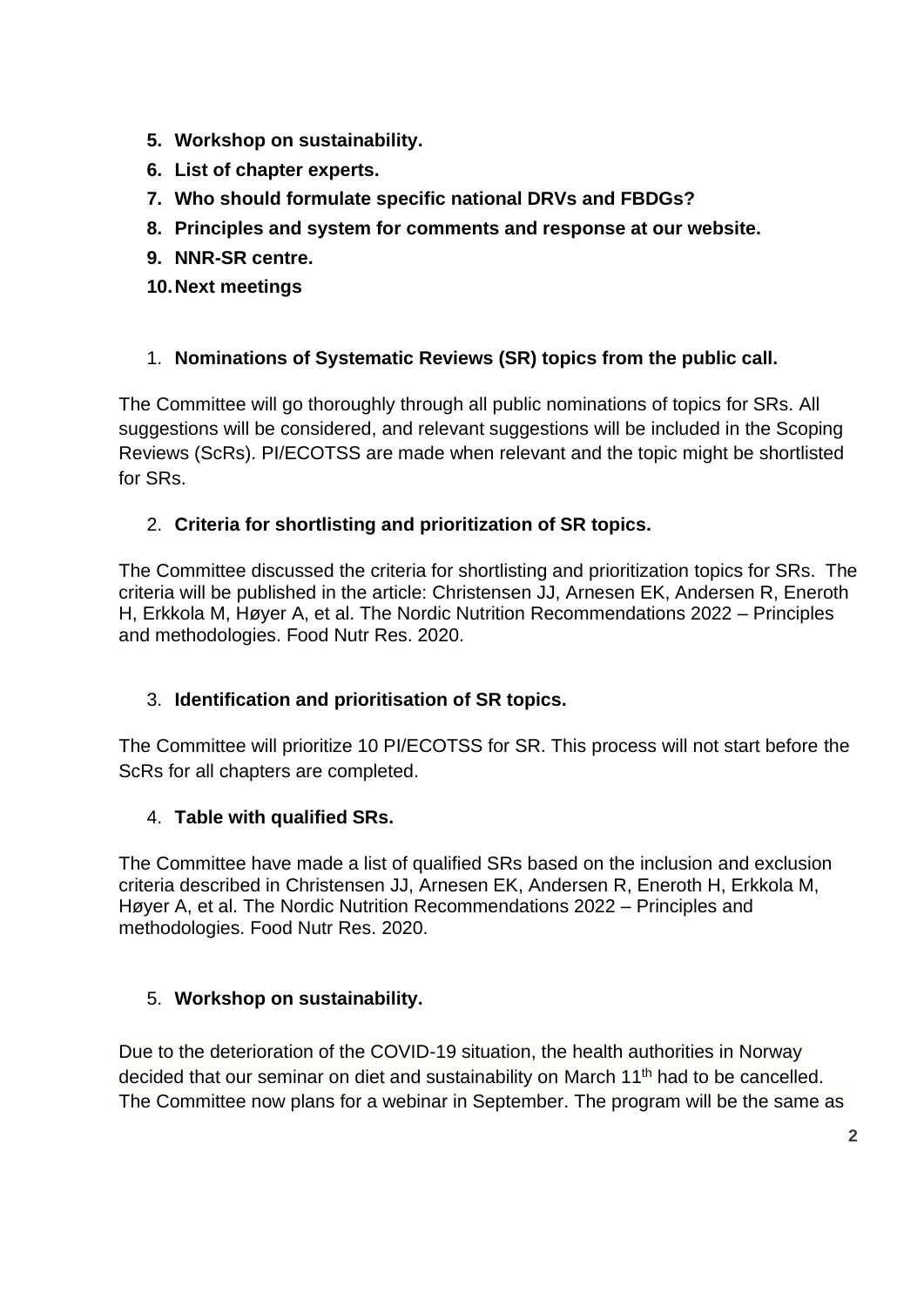- **5. Workshop on sustainability.**
- **6. List of chapter experts.**
- **7. Who should formulate specific national DRVs and FBDGs?**
- **8. Principles and system for comments and response at our website.**
- **9. NNR-SR centre.**
- **10.Next meetings**

## 1. **Nominations of Systematic Reviews (SR) topics from the public call.**

The Committee will go thoroughly through all public nominations of topics for SRs. All suggestions will be considered, and relevant suggestions will be included in the Scoping Reviews (ScRs). PI/ECOTSS are made when relevant and the topic might be shortlisted for SRs.

## 2. **Criteria for shortlisting and prioritization of SR topics.**

The Committee discussed the criteria for shortlisting and prioritization topics for SRs. The criteria will be published in the article: Christensen JJ, Arnesen EK, Andersen R, Eneroth H, Erkkola M, Høyer A, et al. The Nordic Nutrition Recommendations 2022 – Principles and methodologies. Food Nutr Res. 2020.

#### 3. **Identification and prioritisation of SR topics.**

The Committee will prioritize 10 PI/ECOTSS for SR. This process will not start before the ScRs for all chapters are completed.

#### 4. **Table with qualified SRs.**

The Committee have made a list of qualified SRs based on the inclusion and exclusion criteria described in Christensen JJ, Arnesen EK, Andersen R, Eneroth H, Erkkola M, Høyer A, et al. The Nordic Nutrition Recommendations 2022 – Principles and methodologies. Food Nutr Res. 2020.

#### 5. **Workshop on sustainability.**

Due to the deterioration of the COVID-19 situation, the health authorities in Norway decided that our seminar on diet and sustainability on March 11<sup>th</sup> had to be cancelled. The Committee now plans for a webinar in September. The program will be the same as